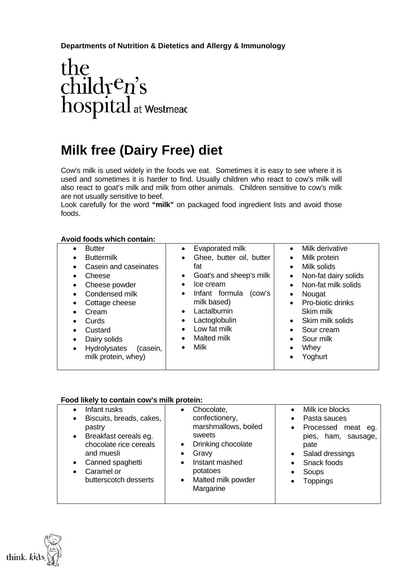# **Departments of Nutrition & Dietetics and Allergy & Immunology**

# $\begin{array}{l} the\\ child\mathbf{r}^\mathbf{c} \mathbf{n}'\mathbf{s}\\ hospital_{\mathsf{at}\mathsf{Westmeac}} \end{array}$

# **Milk free (Dairy Free) diet**

Cow's milk is used widely in the foods we eat. Sometimes it is easy to see where it is used and sometimes it is harder to find. Usually children who react to cow's milk will also react to goat's milk and milk from other animals. Children sensitive to cow's milk are not usually sensitive to beef.

Look carefully for the word **"milk"** on packaged food ingredient lists and avoid those foods.

### **Avoid foods which contain:**

| <b>Butter</b><br><b>Buttermilk</b><br>Casein and caseinates<br>Cheese<br>Cheese powder<br>Condensed milk<br>Cottage cheese<br>Cream<br>Curds<br>Custard<br>Dairy solids<br>Hydrolysates<br>(casein,<br>milk protein, whey) | Evaporated milk<br>$\bullet$<br>Ghee, butter oil, butter<br>$\bullet$<br>fat<br>Goat's and sheep's milk<br>$\bullet$<br>Ice cream<br>$\bullet$<br>Infant formula<br>(cow's<br>$\bullet$<br>milk based)<br>Lactalbumin<br>$\bullet$<br>Lactoglobulin<br>٠<br>Low fat milk<br>$\bullet$<br>Malted milk<br>$\bullet$<br>Milk<br>$\bullet$ | Milk derivative<br>Milk protein<br>$\bullet$<br>Milk solids<br>$\bullet$<br>Non-fat dairy solids<br>$\bullet$<br>Non-fat milk solids<br>Nougat<br>$\bullet$<br>Pro-biotic drinks<br>$\bullet$<br>Skim milk<br>Skim milk solids<br>$\bullet$<br>Sour cream<br>$\bullet$<br>Sour milk<br>$\bullet$<br>Whey<br>Yoghurt |
|----------------------------------------------------------------------------------------------------------------------------------------------------------------------------------------------------------------------------|----------------------------------------------------------------------------------------------------------------------------------------------------------------------------------------------------------------------------------------------------------------------------------------------------------------------------------------|---------------------------------------------------------------------------------------------------------------------------------------------------------------------------------------------------------------------------------------------------------------------------------------------------------------------|
|----------------------------------------------------------------------------------------------------------------------------------------------------------------------------------------------------------------------------|----------------------------------------------------------------------------------------------------------------------------------------------------------------------------------------------------------------------------------------------------------------------------------------------------------------------------------------|---------------------------------------------------------------------------------------------------------------------------------------------------------------------------------------------------------------------------------------------------------------------------------------------------------------------|

### **Food likely to contain cow's milk protein:**

| Infant rusks<br>Biscuits, breads, cakes,<br>$\bullet$<br>pastry<br>Breakfast cereals eg.<br>$\bullet$<br>chocolate rice cereals<br>and muesli<br>Canned spaghetti<br>Caramel or<br>butterscotch desserts | Chocolate,<br>confectionery,<br>marshmallows, boiled<br>sweets<br>Drinking chocolate<br>$\bullet$<br>Gravy<br>Instant mashed<br>$\bullet$<br>potatoes<br>Malted milk powder<br>$\bullet$<br>Margarine | Milk ice blocks<br>Pasta sauces<br>$\bullet$<br>Processed meat eg.<br>$\bullet$<br>pies, ham, sausage,<br>pate<br>Salad dressings<br>$\bullet$<br>Snack foods<br>Soups<br><b>Toppings</b> |
|----------------------------------------------------------------------------------------------------------------------------------------------------------------------------------------------------------|-------------------------------------------------------------------------------------------------------------------------------------------------------------------------------------------------------|-------------------------------------------------------------------------------------------------------------------------------------------------------------------------------------------|
|                                                                                                                                                                                                          |                                                                                                                                                                                                       |                                                                                                                                                                                           |

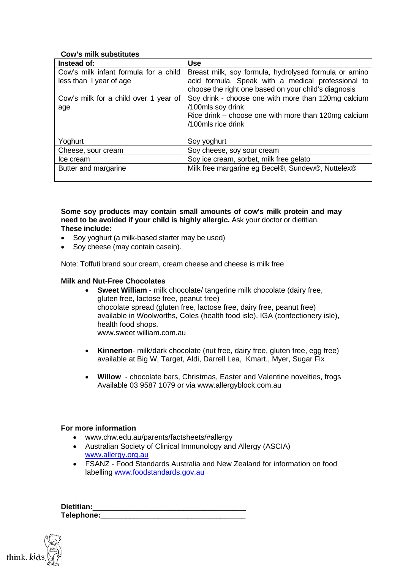### **Cow's milk substitutes**

| Instead of:                           | <b>Use</b>                                            |
|---------------------------------------|-------------------------------------------------------|
| Cow's milk infant formula for a child | Breast milk, soy formula, hydrolysed formula or amino |
| less than I year of age               | acid formula. Speak with a medical professional to    |
|                                       | choose the right one based on your child's diagnosis  |
| Cow's milk for a child over 1 year of | Soy drink - choose one with more than 120mg calcium   |
| age                                   | /100mls soy drink                                     |
|                                       | Rice drink - choose one with more than 120mg calcium  |
|                                       | /100mls rice drink                                    |
|                                       |                                                       |
| Yoghurt                               | Soy yoghurt                                           |
| Cheese, sour cream                    | Soy cheese, soy sour cream                            |
| Ice cream                             | Soy ice cream, sorbet, milk free gelato               |
| Butter and margarine                  | Milk free margarine eg Becel®, Sundew®, Nuttelex®     |
|                                       |                                                       |

**Some soy products may contain small amounts of cow's milk protein and may need to be avoided if your child is highly allergic.** Ask your doctor or dietitian. **These include:** 

- Soy yoghurt (a milk-based starter may be used)
- Sov cheese (may contain casein).

Note: Toffuti brand sour cream, cream cheese and cheese is milk free

### **Milk and Nut-Free Chocolates**

- **Sweet William** milk chocolate/ tangerine milk chocolate (dairy free, gluten free, lactose free, peanut free) chocolate spread (gluten free, lactose free, dairy free, peanut free) available in Woolworths, Coles (health food isle), IGA (confectionery isle), health food shops. www.sweet william.com.au
- **Kinnerton** milk/dark chocolate (nut free, dairy free, gluten free, egg free) available at Big W, Target, Aldi, Darrell Lea, Kmart., Myer, Sugar Fix
- **Willow** chocolate bars, Christmas, Easter and Valentine novelties, frogs Available 03 9587 1079 or via www.allergyblock.com.au

### **For more information**

- www.chw.edu.au/parents/factsheets/#allergy
- Australian Society of Clinical Immunology and Allergy (ASCIA) [www.allergy.org.au](http://www.allergy.org.au/)
- FSANZ Food Standards Australia and New Zealand for information on food labelling [www.foodstandards.gov.au](http://www.foodstandards.gov.au/)

| Dietitian: |  |
|------------|--|
| Telephone: |  |